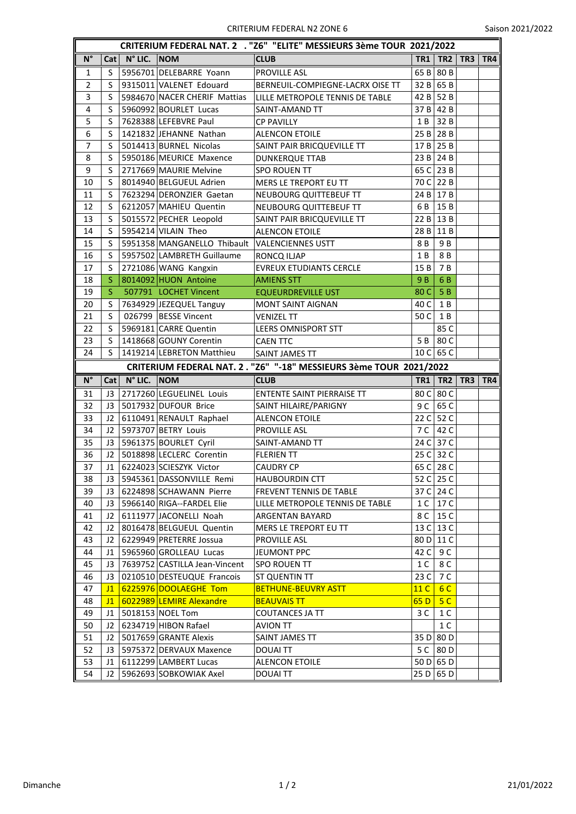| CRITERIUM FEDERAL NAT. 2 . "Z6" "ELITE" MESSIEURS 3ème TOUR 2021/2022 |                                                                    |                     |                                                     |                                                |                       |                 |           |                  |  |  |
|-----------------------------------------------------------------------|--------------------------------------------------------------------|---------------------|-----------------------------------------------------|------------------------------------------------|-----------------------|-----------------|-----------|------------------|--|--|
| $\overline{\mathsf{N}^{\circ}}$                                       | Cat                                                                | $\vert$ N° LIC. NOM |                                                     | <b>CLUB</b>                                    | TR1                   | TR2             |           | <b>TR3   TR4</b> |  |  |
| 1                                                                     | S                                                                  |                     | 5956701 DELEBARRE Yoann                             | <b>PROVILLE ASL</b>                            | 65B                   | 80 B            |           |                  |  |  |
| $\overline{2}$                                                        | S                                                                  |                     | 9315011 VALENET Edouard                             | BERNEUIL-COMPIEGNE-LACRX OISE TT               | 32B                   | 65 B            |           |                  |  |  |
| $\overline{3}$                                                        | S                                                                  |                     | 5984670 NACER CHERIF Mattias                        | LILLE METROPOLE TENNIS DE TABLE                | 42 B                  | 52 B            |           |                  |  |  |
| 4                                                                     | S                                                                  |                     | 5960992 BOURLET Lucas                               | SAINT-AMAND TT                                 | 37 B                  | 42 B            |           |                  |  |  |
| 5                                                                     | S                                                                  |                     | 7628388 LEFEBVRE Paul                               | <b>CP PAVILLY</b>                              | 1 B                   | 32 B            |           |                  |  |  |
| 6                                                                     | S                                                                  |                     | 1421832 JEHANNE Nathan                              | <b>ALENCON ETOILE</b>                          |                       | 25 B   28 B     |           |                  |  |  |
| 7                                                                     | S                                                                  |                     | 5014413 BURNEL Nicolas                              | SAINT PAIR BRICQUEVILLE TT                     |                       | $17 B$ 25 B     |           |                  |  |  |
| 8                                                                     | S                                                                  |                     | 5950186 MEURICE Maxence                             | <b>DUNKERQUE TTAB</b>                          | 23B                   | 24 B            |           |                  |  |  |
| 9                                                                     | S                                                                  |                     | 2717669 MAURIE Melvine                              | <b>SPO ROUEN TT</b>                            | 65 C                  | 23 B            |           |                  |  |  |
| 10                                                                    | S                                                                  |                     | 8014940 BELGUEUL Adrien                             | MERS LE TREPORT EU TT                          | 70 C I                | 22 B            |           |                  |  |  |
| 11                                                                    | S                                                                  |                     | 7623294 DERONZIER Gaetan                            | NEUBOURG QUITTEBEUF TT                         | 24 B                  | 17B             |           |                  |  |  |
| 12                                                                    | S                                                                  |                     | 6212057 MAHIEU Quentin                              | NEUBOURG QUITTEBEUF TT                         | 6 B                   | 15 B            |           |                  |  |  |
| 13                                                                    | S                                                                  |                     | 5015572 PECHER Leopold                              | SAINT PAIR BRICQUEVILLE TT                     | 22B                   | 13 B            |           |                  |  |  |
| 14                                                                    | S                                                                  |                     | 5954214 VILAIN Theo                                 | ALENCON ETOILE                                 | 28 B                  | 11 B            |           |                  |  |  |
| 15                                                                    | S                                                                  |                     | 5951358 MANGANELLO Thibault VALENCIENNES USTT       |                                                | 8 B                   | 9 B             |           |                  |  |  |
| 16                                                                    | S                                                                  |                     | 5957502 LAMBRETH Guillaume                          | RONCQ ILJAP                                    | 1 B                   | 8 B             |           |                  |  |  |
| 17                                                                    | S                                                                  |                     | 2721086 WANG Kangxin                                | <b>EVREUX ETUDIANTS CERCLE</b>                 | 15 B                  | 7 B             |           |                  |  |  |
| 18                                                                    | <sub>S</sub>                                                       |                     | 8014092 HUON Antoine                                | <b>AMIENS STT</b>                              | 9B                    | 6B              |           |                  |  |  |
| 19                                                                    | S                                                                  |                     | 507791 LOCHET Vincent                               | <b>EQUEURDREVILLE UST</b>                      | 80 C                  | 5B              |           |                  |  |  |
| 20                                                                    | S                                                                  |                     | 7634929 JEZEQUEL Tanguy                             | <b>MONT SAINT AIGNAN</b>                       | 40 C                  | 1 B             |           |                  |  |  |
| 21                                                                    | S                                                                  |                     | 026799   BESSE Vincent                              | <b>VENIZEL TT</b>                              | 50 C                  | $1\,\mathrm{B}$ |           |                  |  |  |
| 22                                                                    | S                                                                  |                     | 5969181 CARRE Quentin                               | <b>LEERS OMNISPORT STT</b>                     |                       | 85 C            |           |                  |  |  |
| 23                                                                    | S                                                                  |                     | 1418668 GOUNY Corentin                              | <b>CAEN TTC</b>                                | 5 B                   | 80 C            |           |                  |  |  |
| 24                                                                    | S                                                                  |                     | 1419214 LEBRETON Matthieu                           | SAINT JAMES TT                                 | 10 <sup>C</sup>       | 65 C            |           |                  |  |  |
|                                                                       | CRITERIUM FEDERAL NAT. 2. "Z6" "-18" MESSIEURS 3ème TOUR 2021/2022 |                     |                                                     |                                                |                       |                 |           |                  |  |  |
|                                                                       |                                                                    |                     |                                                     |                                                |                       |                 |           |                  |  |  |
| $N^{\circ}$                                                           | Cat                                                                | N° LIC. NOM         |                                                     | <b>CLUB</b>                                    | TR1                   |                 | TR2   TR3 | TR4              |  |  |
| 31                                                                    |                                                                    |                     | J3 2717260 LEGUELINEL Louis                         | ENTENTE SAINT PIERRAISE TT                     | 80 C I                | 80 C            |           |                  |  |  |
| 32                                                                    | J3                                                                 |                     | 5017932 DUFOUR Brice                                |                                                | 9 C                   | 65 C            |           |                  |  |  |
| 33                                                                    | J2                                                                 |                     |                                                     | SAINT HILAIRE/PARIGNY<br><b>ALENCON ETOILE</b> | 22C                   | 52 C            |           |                  |  |  |
| 34                                                                    | J2                                                                 |                     | 6110491 RENAULT Raphael<br>5973707 BETRY Louis      | PROVILLE ASL                                   | 7 C                   | 42 C            |           |                  |  |  |
| 35                                                                    | J3                                                                 |                     |                                                     | SAINT-AMAND TT                                 | 24C                   | 37 C            |           |                  |  |  |
| 36                                                                    | 12 <sup>2</sup>                                                    |                     | 5961375 BOURLET Cyril<br>5018898 LECLERC Corentin   | <b>FLERIEN TT</b>                              | 25 <sub>C</sub>       | 32 C            |           |                  |  |  |
| 37                                                                    | J1                                                                 |                     | 6224023 SCIESZYK Victor                             | <b>CAUDRY CP</b>                               | 65 C                  | 28 C            |           |                  |  |  |
|                                                                       | J3                                                                 |                     |                                                     |                                                |                       |                 |           |                  |  |  |
| 38<br>39                                                              | J3                                                                 |                     | 5945361 DASSONVILLE Remi<br>6224898 SCHAWANN Pierre | HAUBOURDIN CTT<br>FREVENT TENNIS DE TABLE      | 52 C<br>37 C          | 25 C<br>24 C    |           |                  |  |  |
| 40                                                                    | J3                                                                 |                     | 5966140 RIGA--FARDEL Elie                           | LILLE METROPOLE TENNIS DE TABLE                |                       | 17 C            |           |                  |  |  |
| 41                                                                    | J2                                                                 |                     | 6111977 JACONELLI Noah                              | ARGENTAN BAYARD                                | 1 <sup>C</sup><br>8 C | 15 C            |           |                  |  |  |
| 42                                                                    | J2                                                                 |                     | 8016478 BELGUEUL Quentin                            | MERS LE TREPORT EU TT                          | 13 <sup>C</sup>       | 13 C            |           |                  |  |  |
| 43                                                                    | J2                                                                 |                     |                                                     | PROVILLE ASL                                   | 80 D                  |                 |           |                  |  |  |
| 44                                                                    | J1                                                                 |                     | 6229949 PRETERRE Jossua<br>5965960 GROLLEAU Lucas   |                                                | 42 C                  | 11 C<br>9 C     |           |                  |  |  |
| 45                                                                    | J3                                                                 |                     | 7639752 CASTILLA Jean-Vincent                       | JEUMONT PPC<br><b>SPO ROUEN TT</b>             | 1 C                   | 8 C             |           |                  |  |  |
| 46                                                                    | J3                                                                 |                     | 0210510 DESTEUQUE Francois                          | ST QUENTIN TT                                  | 23 C                  | 7 C             |           |                  |  |  |
| 47                                                                    | J1                                                                 |                     | 6225976 DOOLAEGHE Tom                               | <b>BETHUNE-BEUVRY ASTT</b>                     | 11 <sup>C</sup>       | 6 C             |           |                  |  |  |
| 48                                                                    | J1                                                                 |                     | 6022989 LEMIRE Alexandre                            | <b>BEAUVAIS TT</b>                             | 65D                   | 5 <sup>C</sup>  |           |                  |  |  |
| 49                                                                    | J <sub>1</sub>                                                     |                     | 5018153 NOEL Tom                                    | <b>COUTANCES JA TT</b>                         | 3 C                   | 1 C             |           |                  |  |  |
| 50                                                                    | J2                                                                 |                     | 6234719 HIBON Rafael                                | <b>AVION TT</b>                                |                       | 1 C             |           |                  |  |  |
| 51                                                                    | J2                                                                 |                     | 5017659 GRANTE Alexis                               | SAINT JAMES TT                                 | 35 D                  | 80 D            |           |                  |  |  |
| 52                                                                    | J3                                                                 |                     | 5975372 DERVAUX Maxence                             | <b>DOUAITT</b>                                 | 5 <sup>C</sup>        | 80 D            |           |                  |  |  |
| 53                                                                    | J1                                                                 |                     | 6112299 LAMBERT Lucas                               | <b>ALENCON ETOILE</b>                          |                       | 50 D 65 D       |           |                  |  |  |